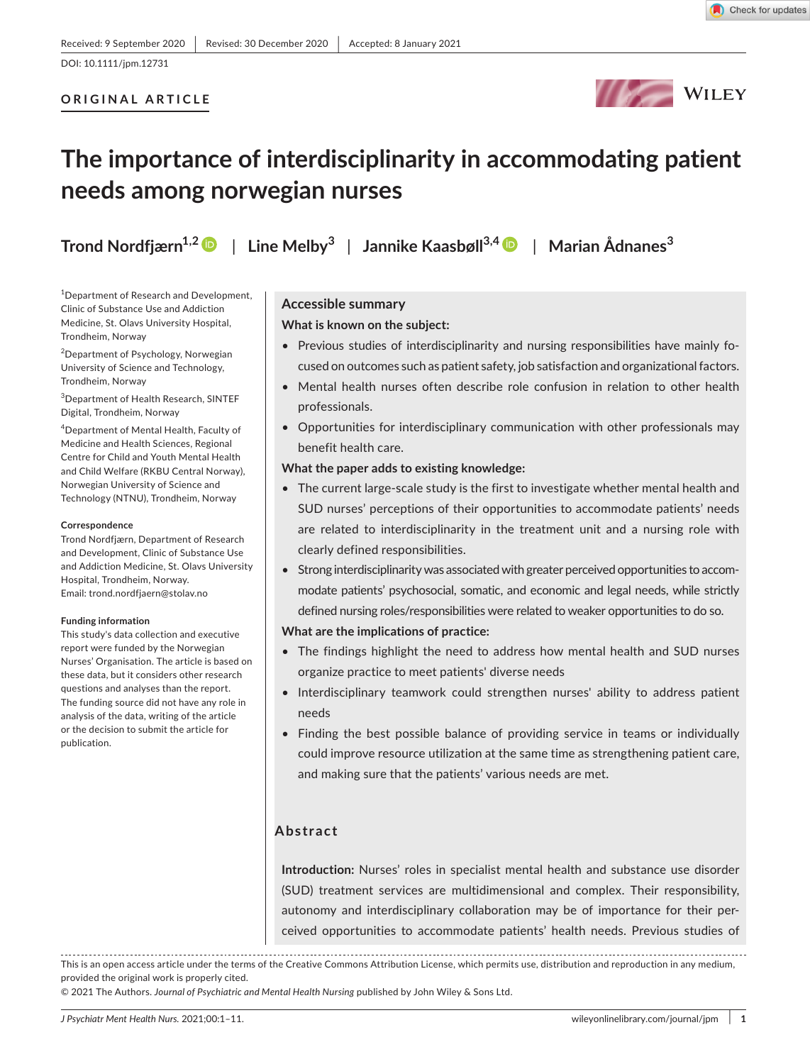## **ORIGINAL ARTICLE**



# **The importance of interdisciplinarity in accommodating patient needs among norwegian nurses**

**Trond Nordfjærn1,[2](https://orcid.org/0000-0002-9436-6446)** | **Line Melby<sup>3</sup>** | **Jannike Kaasbøll3,[4](https://orcid.org/0000-0001-5574-7759)** | **Marian Ådnanes<sup>3</sup>**

<sup>1</sup>Department of Research and Development, Clinic of Substance Use and Addiction Medicine, St. Olavs University Hospital, Trondheim, Norway

<sup>2</sup>Department of Psychology, Norwegian University of Science and Technology, Trondheim, Norway

3 Department of Health Research, SINTEF Digital, Trondheim, Norway

4 Department of Mental Health, Faculty of Medicine and Health Sciences, Regional Centre for Child and Youth Mental Health and Child Welfare (RKBU Central Norway), Norwegian University of Science and Technology (NTNU), Trondheim, Norway

#### **Correspondence**

Trond Nordfjærn, Department of Research and Development, Clinic of Substance Use and Addiction Medicine, St. Olavs University Hospital, Trondheim, Norway. Email: [trond.nordfjaern@stolav.no](mailto:trond.nordfjaern@stolav.no)

#### **Funding information**

This study's data collection and executive report were funded by the Norwegian Nurses' Organisation. The article is based on these data, but it considers other research questions and analyses than the report. The funding source did not have any role in analysis of the data, writing of the article or the decision to submit the article for publication.

## **Accessible summary**

## **What is known on the subject:**

- Previous studies of interdisciplinarity and nursing responsibilities have mainly focused on outcomes such as patient safety, job satisfaction and organizational factors.
- Mental health nurses often describe role confusion in relation to other health professionals.
- Opportunities for interdisciplinary communication with other professionals may benefit health care.

#### **What the paper adds to existing knowledge:**

- The current large-scale study is the first to investigate whether mental health and SUD nurses' perceptions of their opportunities to accommodate patients' needs are related to interdisciplinarity in the treatment unit and a nursing role with clearly defined responsibilities.
- Strong interdisciplinarity was associated with greater perceived opportunities to accommodate patients' psychosocial, somatic, and economic and legal needs, while strictly defined nursing roles/responsibilities were related to weaker opportunities to do so.

#### **What are the implications of practice:**

- The findings highlight the need to address how mental health and SUD nurses organize practice to meet patients' diverse needs
- Interdisciplinary teamwork could strengthen nurses' ability to address patient needs
- Finding the best possible balance of providing service in teams or individually could improve resource utilization at the same time as strengthening patient care, and making sure that the patients' various needs are met.

## **Abstract**

**Introduction:** Nurses' roles in specialist mental health and substance use disorder (SUD) treatment services are multidimensional and complex. Their responsibility, autonomy and interdisciplinary collaboration may be of importance for their perceived opportunities to accommodate patients' health needs. Previous studies of

This is an open access article under the terms of the [Creative Commons Attribution](http://creativecommons.org/licenses/by/4.0/) License, which permits use, distribution and reproduction in any medium, provided the original work is properly cited.

© 2021 The Authors. *Journal of Psychiatric and Mental Health Nursing* published by John Wiley & Sons Ltd.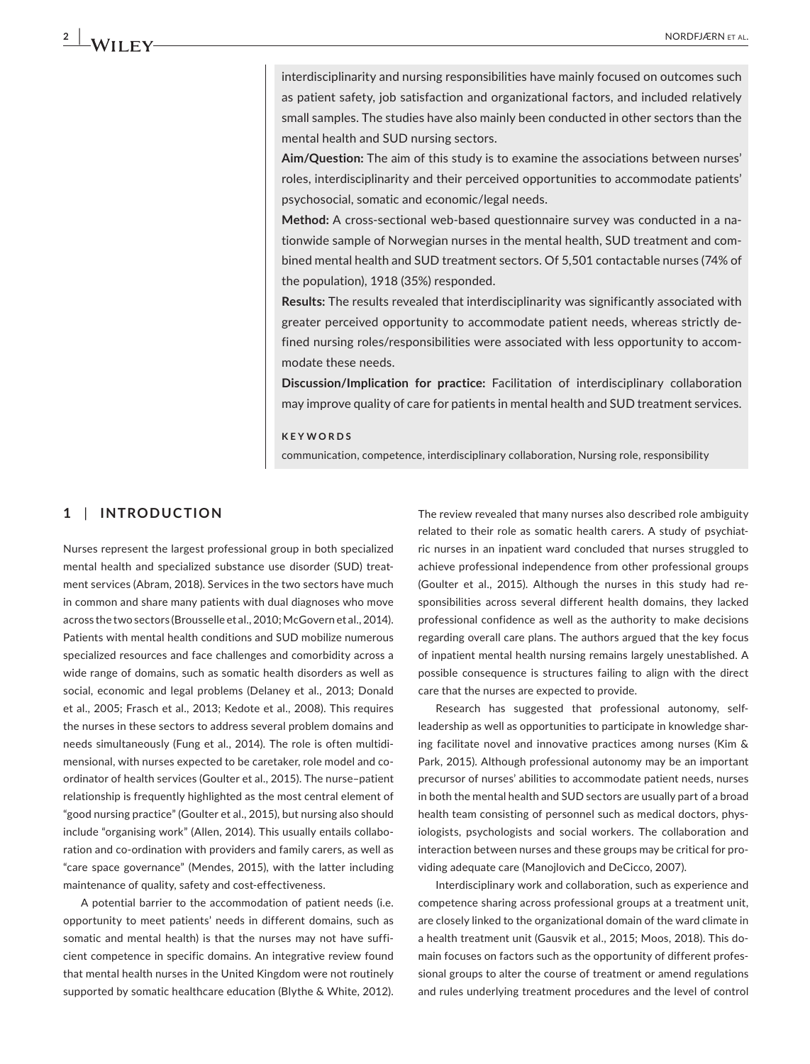interdisciplinarity and nursing responsibilities have mainly focused on outcomes such as patient safety, job satisfaction and organizational factors, and included relatively small samples. The studies have also mainly been conducted in other sectors than the mental health and SUD nursing sectors.

**Aim/Question:** The aim of this study is to examine the associations between nurses' roles, interdisciplinarity and their perceived opportunities to accommodate patients' psychosocial, somatic and economic/legal needs.

**Method:** A cross-sectional web-based questionnaire survey was conducted in a nationwide sample of Norwegian nurses in the mental health, SUD treatment and combined mental health and SUD treatment sectors. Of 5,501 contactable nurses (74% of the population), 1918 (35%) responded.

**Results:** The results revealed that interdisciplinarity was significantly associated with greater perceived opportunity to accommodate patient needs, whereas strictly defined nursing roles/responsibilities were associated with less opportunity to accommodate these needs.

**Discussion/Implication for practice:** Facilitation of interdisciplinary collaboration may improve quality of care for patients in mental health and SUD treatment services.

#### **KEYWORDS**

communication, competence, interdisciplinary collaboration, Nursing role, responsibility

## **1** | **INTRODUCTION**

Nurses represent the largest professional group in both specialized mental health and specialized substance use disorder (SUD) treatment services (Abram, 2018). Services in the two sectors have much in common and share many patients with dual diagnoses who move across the two sectors (Brousselle et al., 2010; McGovern et al., 2014). Patients with mental health conditions and SUD mobilize numerous specialized resources and face challenges and comorbidity across a wide range of domains, such as somatic health disorders as well as social, economic and legal problems (Delaney et al., 2013; Donald et al., 2005; Frasch et al., 2013; Kedote et al., 2008). This requires the nurses in these sectors to address several problem domains and needs simultaneously (Fung et al., 2014). The role is often multidimensional, with nurses expected to be caretaker, role model and coordinator of health services (Goulter et al., 2015). The nurse–patient relationship is frequently highlighted as the most central element of "good nursing practice" (Goulter et al., 2015), but nursing also should include "organising work" (Allen, 2014). This usually entails collaboration and co-ordination with providers and family carers, as well as "care space governance" (Mendes, 2015), with the latter including maintenance of quality, safety and cost-effectiveness.

A potential barrier to the accommodation of patient needs (i.e. opportunity to meet patients' needs in different domains, such as somatic and mental health) is that the nurses may not have sufficient competence in specific domains. An integrative review found that mental health nurses in the United Kingdom were not routinely supported by somatic healthcare education (Blythe & White, 2012).

The review revealed that many nurses also described role ambiguity related to their role as somatic health carers. A study of psychiatric nurses in an inpatient ward concluded that nurses struggled to achieve professional independence from other professional groups (Goulter et al., 2015). Although the nurses in this study had responsibilities across several different health domains, they lacked professional confidence as well as the authority to make decisions regarding overall care plans. The authors argued that the key focus of inpatient mental health nursing remains largely unestablished. A possible consequence is structures failing to align with the direct care that the nurses are expected to provide.

Research has suggested that professional autonomy, selfleadership as well as opportunities to participate in knowledge sharing facilitate novel and innovative practices among nurses (Kim & Park, 2015). Although professional autonomy may be an important precursor of nurses' abilities to accommodate patient needs, nurses in both the mental health and SUD sectors are usually part of a broad health team consisting of personnel such as medical doctors, physiologists, psychologists and social workers. The collaboration and interaction between nurses and these groups may be critical for providing adequate care (Manojlovich and DeCicco, 2007).

Interdisciplinary work and collaboration, such as experience and competence sharing across professional groups at a treatment unit, are closely linked to the organizational domain of the ward climate in a health treatment unit (Gausvik et al., 2015; Moos, 2018). This domain focuses on factors such as the opportunity of different professional groups to alter the course of treatment or amend regulations and rules underlying treatment procedures and the level of control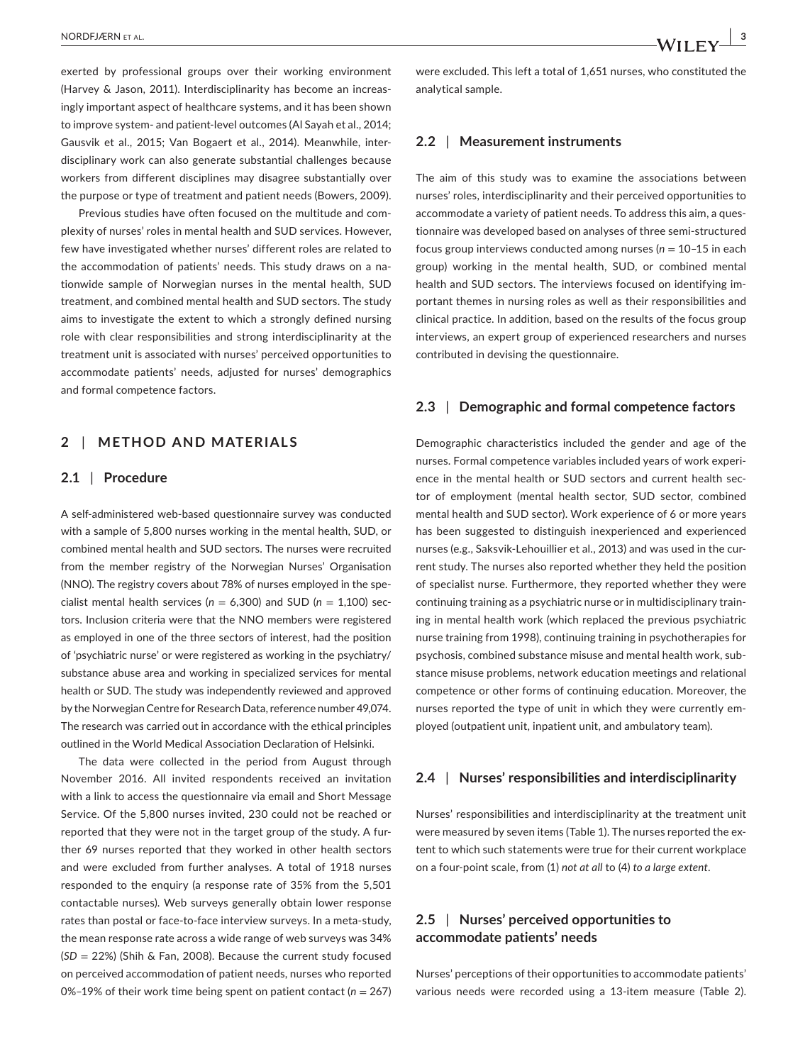exerted by professional groups over their working environment (Harvey & Jason, 2011). Interdisciplinarity has become an increasingly important aspect of healthcare systems, and it has been shown to improve system- and patient-level outcomes (Al Sayah et al., 2014; Gausvik et al., 2015; Van Bogaert et al., 2014). Meanwhile, interdisciplinary work can also generate substantial challenges because workers from different disciplines may disagree substantially over the purpose or type of treatment and patient needs (Bowers, 2009).

Previous studies have often focused on the multitude and complexity of nurses' roles in mental health and SUD services. However, few have investigated whether nurses' different roles are related to the accommodation of patients' needs. This study draws on a nationwide sample of Norwegian nurses in the mental health, SUD treatment, and combined mental health and SUD sectors. The study aims to investigate the extent to which a strongly defined nursing role with clear responsibilities and strong interdisciplinarity at the treatment unit is associated with nurses' perceived opportunities to accommodate patients' needs, adjusted for nurses' demographics and formal competence factors.

## **2** | **METHOD AND MATERIALS**

#### **2.1** | **Procedure**

A self-administered web-based questionnaire survey was conducted with a sample of 5,800 nurses working in the mental health, SUD, or combined mental health and SUD sectors. The nurses were recruited from the member registry of the Norwegian Nurses' Organisation (NNO). The registry covers about 78% of nurses employed in the specialist mental health services ( $n = 6,300$ ) and SUD ( $n = 1,100$ ) sectors. Inclusion criteria were that the NNO members were registered as employed in one of the three sectors of interest, had the position of 'psychiatric nurse' or were registered as working in the psychiatry/ substance abuse area and working in specialized services for mental health or SUD. The study was independently reviewed and approved by the Norwegian Centre for Research Data, reference number 49,074. The research was carried out in accordance with the ethical principles outlined in the World Medical Association Declaration of Helsinki.

The data were collected in the period from August through November 2016. All invited respondents received an invitation with a link to access the questionnaire via email and Short Message Service. Of the 5,800 nurses invited, 230 could not be reached or reported that they were not in the target group of the study. A further 69 nurses reported that they worked in other health sectors and were excluded from further analyses. A total of 1918 nurses responded to the enquiry (a response rate of 35% from the 5,501 contactable nurses). Web surveys generally obtain lower response rates than postal or face-to-face interview surveys. In a meta-study, the mean response rate across a wide range of web surveys was 34% (*SD* = 22%) (Shih & Fan, 2008). Because the current study focused on perceived accommodation of patient needs, nurses who reported 0%–19% of their work time being spent on patient contact (*n* = 267) were excluded. This left a total of 1,651 nurses, who constituted the analytical sample.

### **2.2** | **Measurement instruments**

The aim of this study was to examine the associations between nurses' roles, interdisciplinarity and their perceived opportunities to accommodate a variety of patient needs. To address this aim, a questionnaire was developed based on analyses of three semi-structured focus group interviews conducted among nurses  $(n = 10-15)$  in each group) working in the mental health, SUD, or combined mental health and SUD sectors. The interviews focused on identifying important themes in nursing roles as well as their responsibilities and clinical practice. In addition, based on the results of the focus group interviews, an expert group of experienced researchers and nurses contributed in devising the questionnaire.

#### **2.3** | **Demographic and formal competence factors**

Demographic characteristics included the gender and age of the nurses. Formal competence variables included years of work experience in the mental health or SUD sectors and current health sector of employment (mental health sector, SUD sector, combined mental health and SUD sector). Work experience of 6 or more years has been suggested to distinguish inexperienced and experienced nurses (e.g., Saksvik-Lehouillier et al., 2013) and was used in the current study. The nurses also reported whether they held the position of specialist nurse. Furthermore, they reported whether they were continuing training as a psychiatric nurse or in multidisciplinary training in mental health work (which replaced the previous psychiatric nurse training from 1998), continuing training in psychotherapies for psychosis, combined substance misuse and mental health work, substance misuse problems, network education meetings and relational competence or other forms of continuing education. Moreover, the nurses reported the type of unit in which they were currently employed (outpatient unit, inpatient unit, and ambulatory team).

#### **2.4** | **Nurses' responsibilities and interdisciplinarity**

Nurses' responsibilities and interdisciplinarity at the treatment unit were measured by seven items (Table 1). The nurses reported the extent to which such statements were true for their current workplace on a four-point scale, from (1) *not at all* to (4) *to a large extent*.

## **2.5** | **Nurses' perceived opportunities to accommodate patients' needs**

Nurses' perceptions of their opportunities to accommodate patients' various needs were recorded using a 13-item measure (Table 2).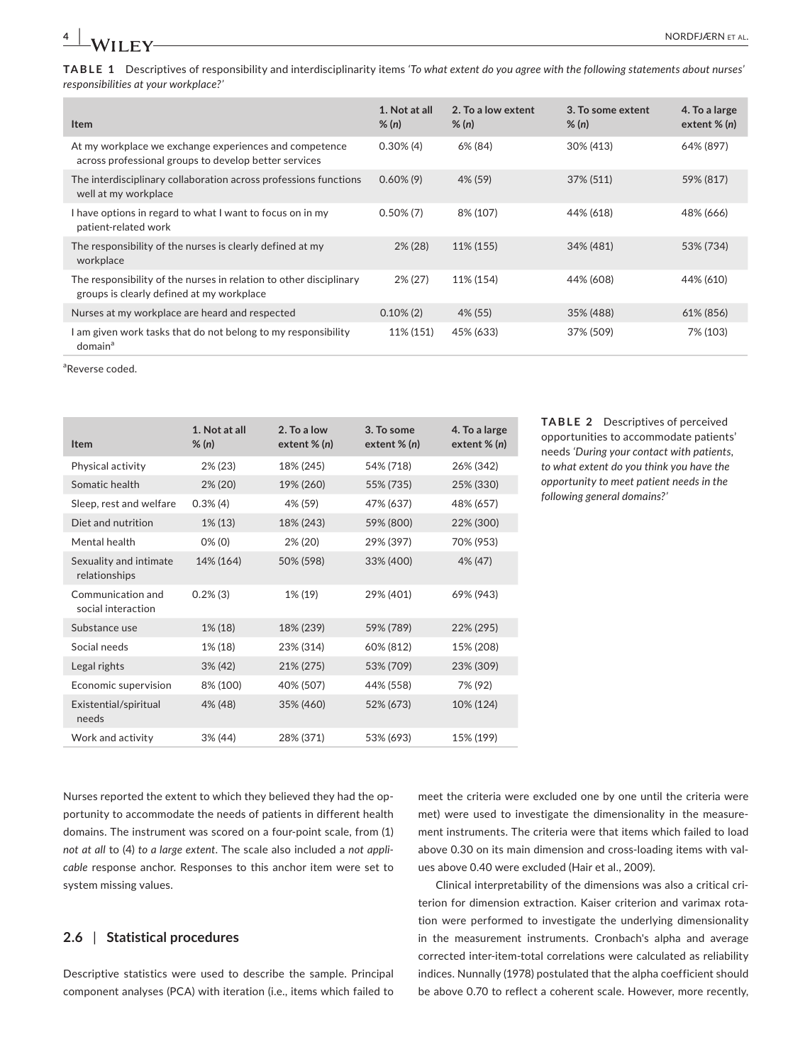**TABLE 1** Descriptives of responsibility and interdisciplinarity items *'To what extent do you agree with the following statements about nurses' responsibilities at your workplace?'*

| <b>Item</b>                                                                                                     | 1. Not at all<br>% (n) | 2. To a low extent<br>% (n) | 3. To some extent<br>% (n) | 4. To a large<br>extent $% (n)$ |
|-----------------------------------------------------------------------------------------------------------------|------------------------|-----------------------------|----------------------------|---------------------------------|
| At my workplace we exchange experiences and competence<br>across professional groups to develop better services | $0.30\%$ (4)           | 6% (84)                     | 30% (413)                  | 64% (897)                       |
| The interdisciplinary collaboration across professions functions<br>well at my workplace                        | $0.60\%$ (9)           | 4% (59)                     | 37% (511)                  | 59% (817)                       |
| I have options in regard to what I want to focus on in my<br>patient-related work                               | $0.50\%$ (7)           | 8% (107)                    | 44% (618)                  | 48% (666)                       |
| The responsibility of the nurses is clearly defined at my<br>workplace                                          | $2\%$ (28)             | 11% (155)                   | 34% (481)                  | 53% (734)                       |
| The responsibility of the nurses in relation to other disciplinary<br>groups is clearly defined at my workplace | $2\%$ (27)             | 11% (154)                   | 44% (608)                  | 44% (610)                       |
| Nurses at my workplace are heard and respected                                                                  | $0.10\%$ (2)           | 4% (55)                     | 35% (488)                  | 61% (856)                       |
| I am given work tasks that do not belong to my responsibility<br>domain <sup>a</sup>                            | 11% (151)              | 45% (633)                   | 37% (509)                  | 7% (103)                        |

a Reverse coded.

| <b>Item</b>                             | 1. Not at all<br>$\%$ (n) | 2. To a low<br>extent $% (n)$ | 3. To some<br>extent $% (n)$ | 4. To a large<br>extent $\%$ (n) |
|-----------------------------------------|---------------------------|-------------------------------|------------------------------|----------------------------------|
| Physical activity                       | 2% (23)                   | 18% (245)                     | 54% (718)                    | 26% (342)                        |
| Somatic health                          | $2\%$ (20)                | 19% (260)                     | 55% (735)                    | 25% (330)                        |
| Sleep, rest and welfare                 | $0.3\%$ (4)               | 4% (59)                       | 47% (637)                    | 48% (657)                        |
| Diet and nutrition                      | $1\%$ (13)                | 18% (243)                     | 59% (800)                    | 22% (300)                        |
| Mental health                           | $0\%$ (0)                 | 2% (20)                       | 29% (397)                    | 70% (953)                        |
| Sexuality and intimate<br>relationships | 14% (164)                 | 50% (598)                     | 33% (400)                    | 4% (47)                          |
| Communication and<br>social interaction | $0.2\%$ (3)               | 1% (19)                       | 29% (401)                    | 69% (943)                        |
| Substance use                           | 1% (18)                   | 18% (239)                     | 59% (789)                    | 22% (295)                        |
| Social needs                            | 1% (18)                   | 23% (314)                     | 60% (812)                    | 15% (208)                        |
| Legal rights                            | $3\% (42)$                | 21% (275)                     | 53% (709)                    | 23% (309)                        |
| Economic supervision                    | 8% (100)                  | 40% (507)                     | 44% (558)                    | 7% (92)                          |
| Existential/spiritual<br>needs          | 4% (48)                   | 35% (460)                     | 52% (673)                    | 10% (124)                        |
| Work and activity                       | $3\% (44)$                | 28% (371)                     | 53% (693)                    | 15% (199)                        |

**TABLE 2** Descriptives of perceived opportunities to accommodate patients' needs *'During your contact with patients, to what extent do you think you have the opportunity to meet patient needs in the following general domains?'*

Nurses reported the extent to which they believed they had the opportunity to accommodate the needs of patients in different health domains. The instrument was scored on a four-point scale, from (1) *not at all* to (4) *to a large extent*. The scale also included a *not applicable* response anchor. Responses to this anchor item were set to system missing values.

## **2.6** | **Statistical procedures**

Descriptive statistics were used to describe the sample. Principal component analyses (PCA) with iteration (i.e., items which failed to meet the criteria were excluded one by one until the criteria were met) were used to investigate the dimensionality in the measurement instruments. The criteria were that items which failed to load above 0.30 on its main dimension and cross-loading items with values above 0.40 were excluded (Hair et al., 2009).

Clinical interpretability of the dimensions was also a critical criterion for dimension extraction. Kaiser criterion and varimax rotation were performed to investigate the underlying dimensionality in the measurement instruments. Cronbach's alpha and average corrected inter-item-total correlations were calculated as reliability indices. Nunnally (1978) postulated that the alpha coefficient should be above 0.70 to reflect a coherent scale. However, more recently,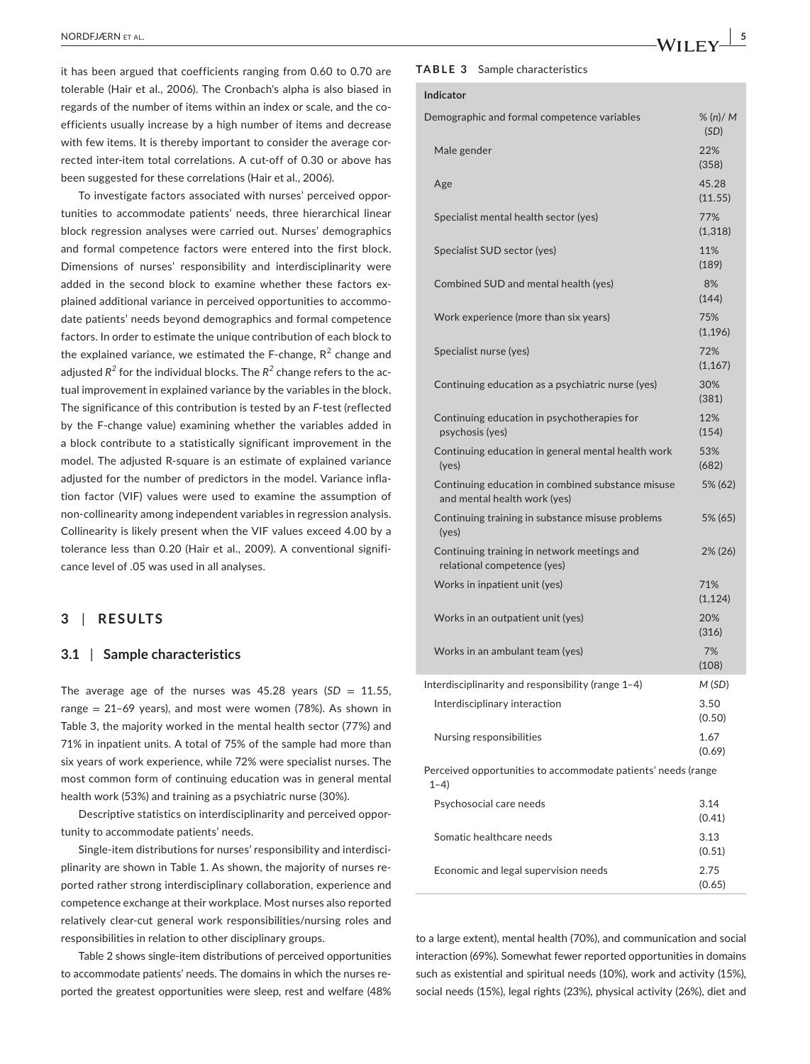it has been argued that coefficients ranging from 0.60 to 0.70 are tolerable (Hair et al., 2006). The Cronbach's alpha is also biased in regards of the number of items within an index or scale, and the coefficients usually increase by a high number of items and decrease with few items. It is thereby important to consider the average corrected inter-item total correlations. A cut-off of 0.30 or above has been suggested for these correlations (Hair et al., 2006).

To investigate factors associated with nurses' perceived opportunities to accommodate patients' needs, three hierarchical linear block regression analyses were carried out. Nurses' demographics and formal competence factors were entered into the first block. Dimensions of nurses' responsibility and interdisciplinarity were added in the second block to examine whether these factors explained additional variance in perceived opportunities to accommodate patients' needs beyond demographics and formal competence factors. In order to estimate the unique contribution of each block to the explained variance, we estimated the F-change,  $R^2$  change and adjusted *R<sup>2</sup>* for the individual blocks. The *R<sup>2</sup>* change refers to the actual improvement in explained variance by the variables in the block. The significance of this contribution is tested by an *F*-test (reflected by the F-change value) examining whether the variables added in a block contribute to a statistically significant improvement in the model. The adjusted R-square is an estimate of explained variance adjusted for the number of predictors in the model. Variance inflation factor (VIF) values were used to examine the assumption of non-collinearity among independent variables in regression analysis. Collinearity is likely present when the VIF values exceed 4.00 by a tolerance less than 0.20 (Hair et al., 2009). A conventional significance level of .05 was used in all analyses.

## **3** | **RESULTS**

#### **3.1** | **Sample characteristics**

The average age of the nurses was  $45.28$  years ( $SD = 11.55$ , range = 21–69 years), and most were women (78%). As shown in Table 3, the majority worked in the mental health sector (77%) and 71% in inpatient units. A total of 75% of the sample had more than six years of work experience, while 72% were specialist nurses. The most common form of continuing education was in general mental health work (53%) and training as a psychiatric nurse (30%).

Descriptive statistics on interdisciplinarity and perceived opportunity to accommodate patients' needs.

Single-item distributions for nurses' responsibility and interdisciplinarity are shown in Table 1. As shown, the majority of nurses reported rather strong interdisciplinary collaboration, experience and competence exchange at their workplace. Most nurses also reported relatively clear-cut general work responsibilities/nursing roles and responsibilities in relation to other disciplinary groups.

Table 2 shows single-item distributions of perceived opportunities to accommodate patients' needs. The domains in which the nurses reported the greatest opportunities were sleep, rest and welfare (48%

#### **TABLE 3** Sample characteristics

**Indicator**

| Demographic and formal competence variables                                       | $\%$ (n)/ M<br>(SD) |
|-----------------------------------------------------------------------------------|---------------------|
| Male gender                                                                       | 22%<br>(358)        |
| Age                                                                               | 45.28<br>(11.55)    |
| Specialist mental health sector (yes)                                             | 77%<br>(1, 318)     |
| Specialist SUD sector (yes)                                                       | 11%<br>(189)        |
| Combined SUD and mental health (yes)                                              | 8%<br>(144)         |
| Work experience (more than six years)                                             | 75%<br>(1, 196)     |
| Specialist nurse (yes)                                                            | 72%<br>(1, 167)     |
| Continuing education as a psychiatric nurse (yes)                                 | 30%<br>(381)        |
| Continuing education in psychotherapies for<br>psychosis (yes)                    | 12%<br>(154)        |
| Continuing education in general mental health work<br>(yes)                       | 53%<br>(682)        |
| Continuing education in combined substance misuse<br>and mental health work (yes) | 5% (62)             |
| Continuing training in substance misuse problems<br>(yes)                         | 5% (65)             |
| Continuing training in network meetings and<br>relational competence (yes)        | $2\%$ (26)          |
| Works in inpatient unit (yes)                                                     | 71%<br>(1, 124)     |
| Works in an outpatient unit (yes)                                                 | 20%<br>(316)        |
| Works in an ambulant team (yes)                                                   | 7%<br>(108)         |
| Interdisciplinarity and responsibility (range 1–4)                                | M (SD)              |
| Interdisciplinary interaction                                                     | 3.50<br>(0.50)      |
| Nursing responsibilities                                                          | 1.67<br>(0.69)      |
| Perceived opportunities to accommodate patients' needs (range<br>$1 - 4$          |                     |
| Psychosocial care needs                                                           | 3.14<br>(0.41)      |
| Somatic healthcare needs                                                          | 3.13<br>(0.51)      |
| Economic and legal supervision needs                                              | 2.75<br>(0.65)      |
|                                                                                   |                     |

to a large extent), mental health (70%), and communication and social interaction (69%). Somewhat fewer reported opportunities in domains such as existential and spiritual needs (10%), work and activity (15%), social needs (15%), legal rights (23%), physical activity (26%), diet and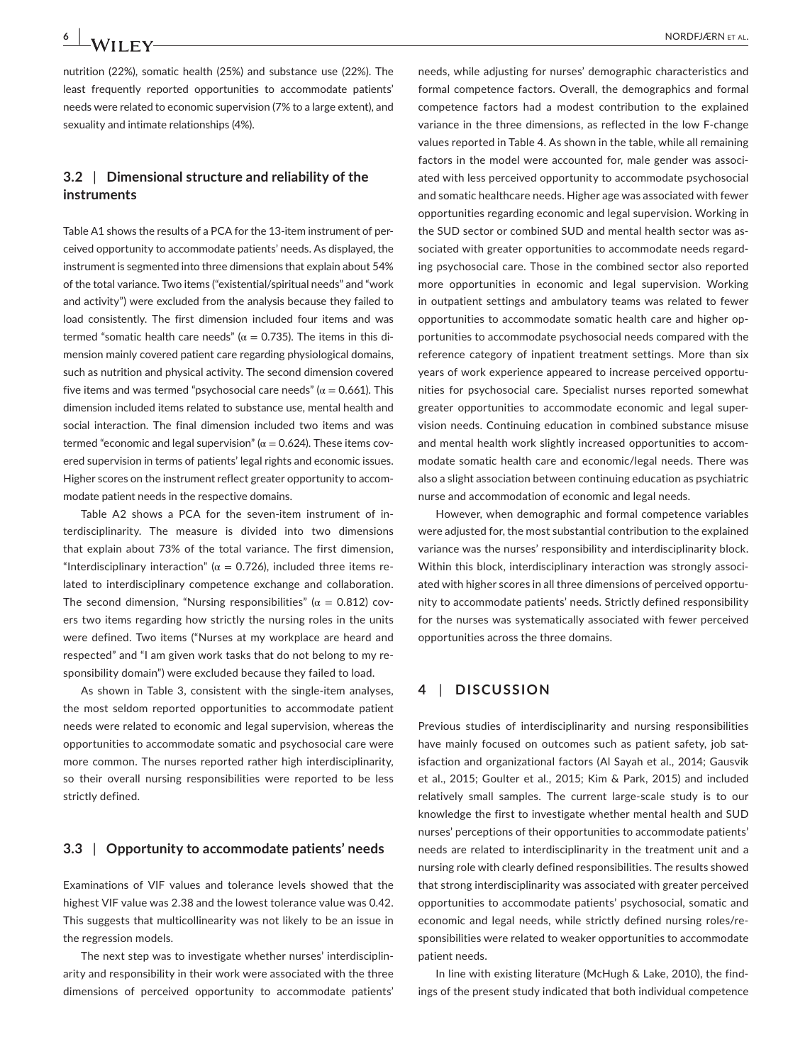nutrition (22%), somatic health (25%) and substance use (22%). The least frequently reported opportunities to accommodate patients' needs were related to economic supervision (7% to a large extent), and sexuality and intimate relationships (4%).

## **3.2** | **Dimensional structure and reliability of the instruments**

Table A1 shows the results of a PCA for the 13-item instrument of perceived opportunity to accommodate patients' needs. As displayed, the instrument is segmented into three dimensions that explain about 54% of the total variance. Two items ("existential/spiritual needs" and "work and activity") were excluded from the analysis because they failed to load consistently. The first dimension included four items and was termed "somatic health care needs" ( $α = 0.735$ ). The items in this dimension mainly covered patient care regarding physiological domains, such as nutrition and physical activity. The second dimension covered five items and was termed "psychosocial care needs" ( $\alpha$  = 0.661). This dimension included items related to substance use, mental health and social interaction. The final dimension included two items and was termed "economic and legal supervision" ( $α = 0.624$ ). These items covered supervision in terms of patients' legal rights and economic issues. Higher scores on the instrument reflect greater opportunity to accommodate patient needs in the respective domains.

Table A2 shows a PCA for the seven-item instrument of interdisciplinarity. The measure is divided into two dimensions that explain about 73% of the total variance. The first dimension, "Interdisciplinary interaction" ( $\alpha$  = 0.726), included three items related to interdisciplinary competence exchange and collaboration. The second dimension, "Nursing responsibilities" ( $\alpha = 0.812$ ) covers two items regarding how strictly the nursing roles in the units were defined. Two items ("Nurses at my workplace are heard and respected" and "I am given work tasks that do not belong to my responsibility domain") were excluded because they failed to load.

As shown in Table 3, consistent with the single-item analyses, the most seldom reported opportunities to accommodate patient needs were related to economic and legal supervision, whereas the opportunities to accommodate somatic and psychosocial care were more common. The nurses reported rather high interdisciplinarity, so their overall nursing responsibilities were reported to be less strictly defined.

#### **3.3** | **Opportunity to accommodate patients' needs**

Examinations of VIF values and tolerance levels showed that the highest VIF value was 2.38 and the lowest tolerance value was 0.42. This suggests that multicollinearity was not likely to be an issue in the regression models.

The next step was to investigate whether nurses' interdisciplinarity and responsibility in their work were associated with the three dimensions of perceived opportunity to accommodate patients' needs, while adjusting for nurses' demographic characteristics and formal competence factors. Overall, the demographics and formal competence factors had a modest contribution to the explained variance in the three dimensions, as reflected in the low F-change values reported in Table 4. As shown in the table, while all remaining factors in the model were accounted for, male gender was associated with less perceived opportunity to accommodate psychosocial and somatic healthcare needs. Higher age was associated with fewer opportunities regarding economic and legal supervision. Working in the SUD sector or combined SUD and mental health sector was associated with greater opportunities to accommodate needs regarding psychosocial care. Those in the combined sector also reported more opportunities in economic and legal supervision. Working in outpatient settings and ambulatory teams was related to fewer opportunities to accommodate somatic health care and higher opportunities to accommodate psychosocial needs compared with the reference category of inpatient treatment settings. More than six years of work experience appeared to increase perceived opportunities for psychosocial care. Specialist nurses reported somewhat greater opportunities to accommodate economic and legal supervision needs. Continuing education in combined substance misuse and mental health work slightly increased opportunities to accommodate somatic health care and economic/legal needs. There was also a slight association between continuing education as psychiatric nurse and accommodation of economic and legal needs.

However, when demographic and formal competence variables were adjusted for, the most substantial contribution to the explained variance was the nurses' responsibility and interdisciplinarity block. Within this block, interdisciplinary interaction was strongly associated with higher scores in all three dimensions of perceived opportunity to accommodate patients' needs. Strictly defined responsibility for the nurses was systematically associated with fewer perceived opportunities across the three domains.

## **4** | **DISCUSSION**

Previous studies of interdisciplinarity and nursing responsibilities have mainly focused on outcomes such as patient safety, job satisfaction and organizational factors (Al Sayah et al., 2014; Gausvik et al., 2015; Goulter et al., 2015; Kim & Park, 2015) and included relatively small samples. The current large-scale study is to our knowledge the first to investigate whether mental health and SUD nurses' perceptions of their opportunities to accommodate patients' needs are related to interdisciplinarity in the treatment unit and a nursing role with clearly defined responsibilities. The results showed that strong interdisciplinarity was associated with greater perceived opportunities to accommodate patients' psychosocial, somatic and economic and legal needs, while strictly defined nursing roles/responsibilities were related to weaker opportunities to accommodate patient needs.

In line with existing literature (McHugh & Lake, 2010), the findings of the present study indicated that both individual competence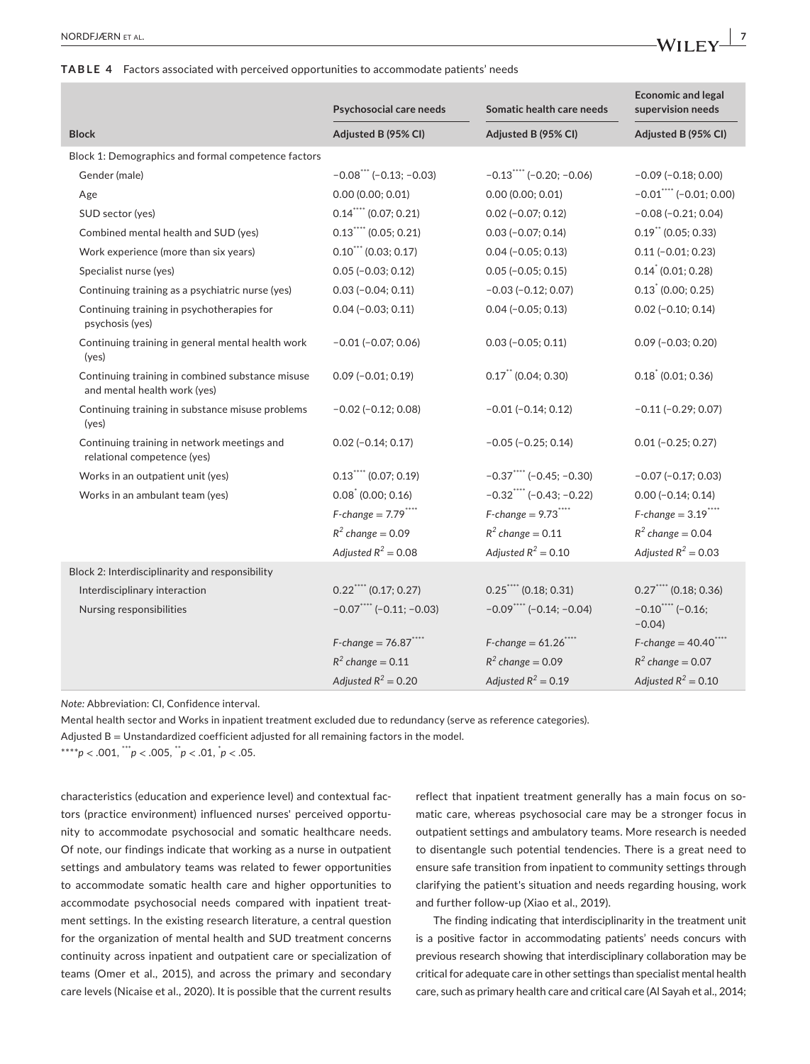#### **TABLE 4** Factors associated with perceived opportunities to accommodate patients' needs

|                                                                                  | Psychosocial care needs                | Somatic health care needs   | <b>Economic and legal</b><br>supervision needs |
|----------------------------------------------------------------------------------|----------------------------------------|-----------------------------|------------------------------------------------|
| <b>Block</b>                                                                     | Adjusted B (95% CI)                    | Adjusted B (95% CI)         | Adjusted B (95% CI)                            |
| Block 1: Demographics and formal competence factors                              |                                        |                             |                                                |
| Gender (male)                                                                    | $-0.08$ *** (-0.13; -0.03)             | $-0.13$ **** (-0.20; -0.06) | $-0.09$ ( $-0.18$ ; 0.00)                      |
| Age                                                                              | 0.00(0.00; 0.01)                       | 0.00(0.00; 0.01)            | $-0.01$ <sup>****</sup> (-0.01; 0.00)          |
| SUD sector (yes)                                                                 | $0.14$ (0.07; 0.21)                    | $0.02$ (-0.07; 0.12)        | $-0.08$ ( $-0.21$ ; 0.04)                      |
| Combined mental health and SUD (yes)                                             | $0.13$ (0.05; 0.21)                    | $0.03 (-0.07; 0.14)$        | $0.19$ (0.05; 0.33)                            |
| Work experience (more than six years)                                            | $0.10$ (0.03; 0.17)                    | $0.04 (-0.05; 0.13)$        | $0.11 (-0.01; 0.23)$                           |
| Specialist nurse (yes)                                                           | $0.05 (-0.03; 0.12)$                   | $0.05 (-0.05; 0.15)$        | $0.14$ (0.01; 0.28)                            |
| Continuing training as a psychiatric nurse (yes)                                 | $0.03 (-0.04; 0.11)$                   | $-0.03(-0.12; 0.07)$        | $0.13$ (0.00; 0.25)                            |
| Continuing training in psychotherapies for<br>psychosis (yes)                    | $0.04 (-0.03; 0.11)$                   | $0.04 (-0.05; 0.13)$        | $0.02$ (-0.10; 0.14)                           |
| Continuing training in general mental health work<br>(yes)                       | $-0.01$ $(-0.07; 0.06)$                | $0.03$ (-0.05; 0.11)        | $0.09$ ( $-0.03; 0.20$ )                       |
| Continuing training in combined substance misuse<br>and mental health work (yes) | $0.09$ (-0.01; 0.19)                   | $0.17$ (0.04; 0.30)         | $0.18^{\degree}$ (0.01; 0.36)                  |
| Continuing training in substance misuse problems<br>(yes)                        | $-0.02$ ( $-0.12$ ; 0.08)              | $-0.01$ ( $-0.14$ ; 0.12)   | $-0.11$ $(-0.29; 0.07)$                        |
| Continuing training in network meetings and<br>relational competence (yes)       | $0.02$ (-0.14; 0.17)                   | $-0.05$ ( $-0.25$ ; 0.14)   | $0.01 (-0.25; 0.27)$                           |
| Works in an outpatient unit (yes)                                                | $0.13$ (0.07; 0.19)                    | $-0.37$ **** (-0.45; -0.30) | $-0.07$ ( $-0.17; 0.03$ )                      |
| Works in an ambulant team (yes)                                                  | $0.08^{\degree}$ (0.00; 0.16)          | $-0.32$ **** (-0.43; -0.22) | $0.00 (-0.14; 0.14)$                           |
|                                                                                  | $F$ -change = 7.79****                 | $F$ -change = 9.73****      | $F$ -change = 3.19****                         |
|                                                                                  | $R^2$ change = 0.09                    | $R^2$ change = 0.11         | $R^2$ change = 0.04                            |
|                                                                                  | Adjusted $R^2 = 0.08$                  | Adjusted $R^2 = 0.10$       | Adjusted $R^2 = 0.03$                          |
| Block 2: Interdisciplinarity and responsibility                                  |                                        |                             |                                                |
| Interdisciplinary interaction                                                    | $0.22$ (0.17; 0.27)                    | $0.25$ ***** (0.18; 0.31)   | $0.27$ (0.18; 0.36)                            |
| Nursing responsibilities                                                         | $-0.07$ <sup>****</sup> (-0.11; -0.03) | $-0.09$ **** (-0.14; -0.04) | $-0.10$ <sup>****</sup> (-0.16;<br>$-0.04$     |
|                                                                                  | $F$ -change = 76.87****                | $F$ -change = 61.26****     | $F$ -change = 40.40****                        |
|                                                                                  | $R^2$ change = 0.11                    | $R^2$ change = 0.09         | $R^2$ change = 0.07                            |
|                                                                                  | Adjusted $R^2 = 0.20$                  | Adjusted $R^2 = 0.19$       | Adjusted $R^2 = 0.10$                          |

*Note:* Abbreviation: CI, Confidence interval.

Mental health sector and Works in inpatient treatment excluded due to redundancy (serve as reference categories).

Adjusted  $B =$  Unstandardized coefficient adjusted for all remaining factors in the model.

\*\*\*\**p* < .001, \*\*\**p* < .005, \*\**p* < .01, \* *p* < .05.

characteristics (education and experience level) and contextual factors (practice environment) influenced nurses' perceived opportunity to accommodate psychosocial and somatic healthcare needs. Of note, our findings indicate that working as a nurse in outpatient settings and ambulatory teams was related to fewer opportunities to accommodate somatic health care and higher opportunities to accommodate psychosocial needs compared with inpatient treatment settings. In the existing research literature, a central question for the organization of mental health and SUD treatment concerns continuity across inpatient and outpatient care or specialization of teams (Omer et al., 2015), and across the primary and secondary care levels (Nicaise et al., 2020). It is possible that the current results

reflect that inpatient treatment generally has a main focus on somatic care, whereas psychosocial care may be a stronger focus in outpatient settings and ambulatory teams. More research is needed to disentangle such potential tendencies. There is a great need to ensure safe transition from inpatient to community settings through clarifying the patient's situation and needs regarding housing, work and further follow-up (Xiao et al., 2019).

The finding indicating that interdisciplinarity in the treatment unit is a positive factor in accommodating patients' needs concurs with previous research showing that interdisciplinary collaboration may be critical for adequate care in other settings than specialist mental health care, such as primary health care and critical care (Al Sayah et al., 2014;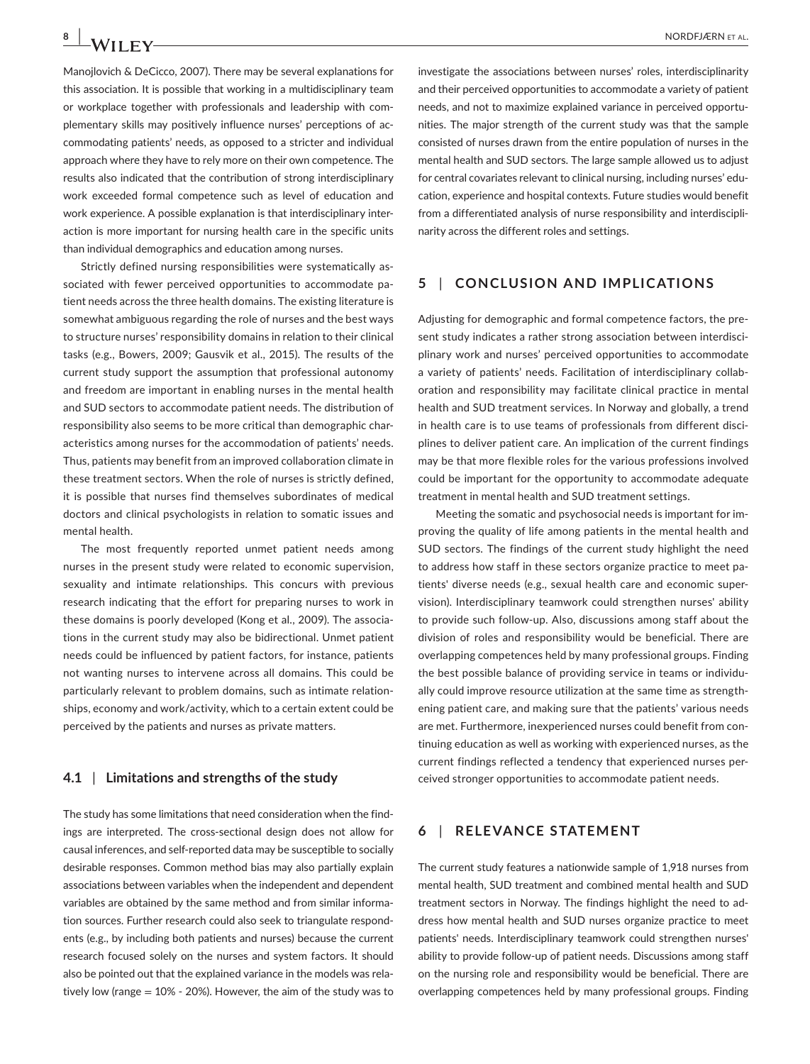Manojlovich & DeCicco, 2007). There may be several explanations for this association. It is possible that working in a multidisciplinary team or workplace together with professionals and leadership with complementary skills may positively influence nurses' perceptions of accommodating patients' needs, as opposed to a stricter and individual approach where they have to rely more on their own competence. The results also indicated that the contribution of strong interdisciplinary work exceeded formal competence such as level of education and work experience. A possible explanation is that interdisciplinary interaction is more important for nursing health care in the specific units than individual demographics and education among nurses.

Strictly defined nursing responsibilities were systematically associated with fewer perceived opportunities to accommodate patient needs across the three health domains. The existing literature is somewhat ambiguous regarding the role of nurses and the best ways to structure nurses' responsibility domains in relation to their clinical tasks (e.g., Bowers, 2009; Gausvik et al., 2015). The results of the current study support the assumption that professional autonomy and freedom are important in enabling nurses in the mental health and SUD sectors to accommodate patient needs. The distribution of responsibility also seems to be more critical than demographic characteristics among nurses for the accommodation of patients' needs. Thus, patients may benefit from an improved collaboration climate in these treatment sectors. When the role of nurses is strictly defined, it is possible that nurses find themselves subordinates of medical doctors and clinical psychologists in relation to somatic issues and mental health.

The most frequently reported unmet patient needs among nurses in the present study were related to economic supervision, sexuality and intimate relationships. This concurs with previous research indicating that the effort for preparing nurses to work in these domains is poorly developed (Kong et al., 2009). The associations in the current study may also be bidirectional. Unmet patient needs could be influenced by patient factors, for instance, patients not wanting nurses to intervene across all domains. This could be particularly relevant to problem domains, such as intimate relationships, economy and work/activity, which to a certain extent could be perceived by the patients and nurses as private matters.

#### **4.1** | **Limitations and strengths of the study**

The study has some limitations that need consideration when the findings are interpreted. The cross-sectional design does not allow for causal inferences, and self-reported data may be susceptible to socially desirable responses. Common method bias may also partially explain associations between variables when the independent and dependent variables are obtained by the same method and from similar information sources. Further research could also seek to triangulate respondents (e.g., by including both patients and nurses) because the current research focused solely on the nurses and system factors. It should also be pointed out that the explained variance in the models was relatively low (range = 10% - 20%). However, the aim of the study was to

investigate the associations between nurses' roles, interdisciplinarity and their perceived opportunities to accommodate a variety of patient needs, and not to maximize explained variance in perceived opportunities. The major strength of the current study was that the sample consisted of nurses drawn from the entire population of nurses in the mental health and SUD sectors. The large sample allowed us to adjust for central covariates relevant to clinical nursing, including nurses' education, experience and hospital contexts. Future studies would benefit from a differentiated analysis of nurse responsibility and interdisciplinarity across the different roles and settings.

#### **5** | **CONCLUSION AND IMPLICATIONS**

Adjusting for demographic and formal competence factors, the present study indicates a rather strong association between interdisciplinary work and nurses' perceived opportunities to accommodate a variety of patients' needs. Facilitation of interdisciplinary collaboration and responsibility may facilitate clinical practice in mental health and SUD treatment services. In Norway and globally, a trend in health care is to use teams of professionals from different disciplines to deliver patient care. An implication of the current findings may be that more flexible roles for the various professions involved could be important for the opportunity to accommodate adequate treatment in mental health and SUD treatment settings.

Meeting the somatic and psychosocial needs is important for improving the quality of life among patients in the mental health and SUD sectors. The findings of the current study highlight the need to address how staff in these sectors organize practice to meet patients' diverse needs (e.g., sexual health care and economic supervision). Interdisciplinary teamwork could strengthen nurses' ability to provide such follow-up. Also, discussions among staff about the division of roles and responsibility would be beneficial. There are overlapping competences held by many professional groups. Finding the best possible balance of providing service in teams or individually could improve resource utilization at the same time as strengthening patient care, and making sure that the patients' various needs are met. Furthermore, inexperienced nurses could benefit from continuing education as well as working with experienced nurses, as the current findings reflected a tendency that experienced nurses perceived stronger opportunities to accommodate patient needs.

## **6** | **RELEVANCE STATEMENT**

The current study features a nationwide sample of 1,918 nurses from mental health, SUD treatment and combined mental health and SUD treatment sectors in Norway. The findings highlight the need to address how mental health and SUD nurses organize practice to meet patients' needs. Interdisciplinary teamwork could strengthen nurses' ability to provide follow-up of patient needs. Discussions among staff on the nursing role and responsibility would be beneficial. There are overlapping competences held by many professional groups. Finding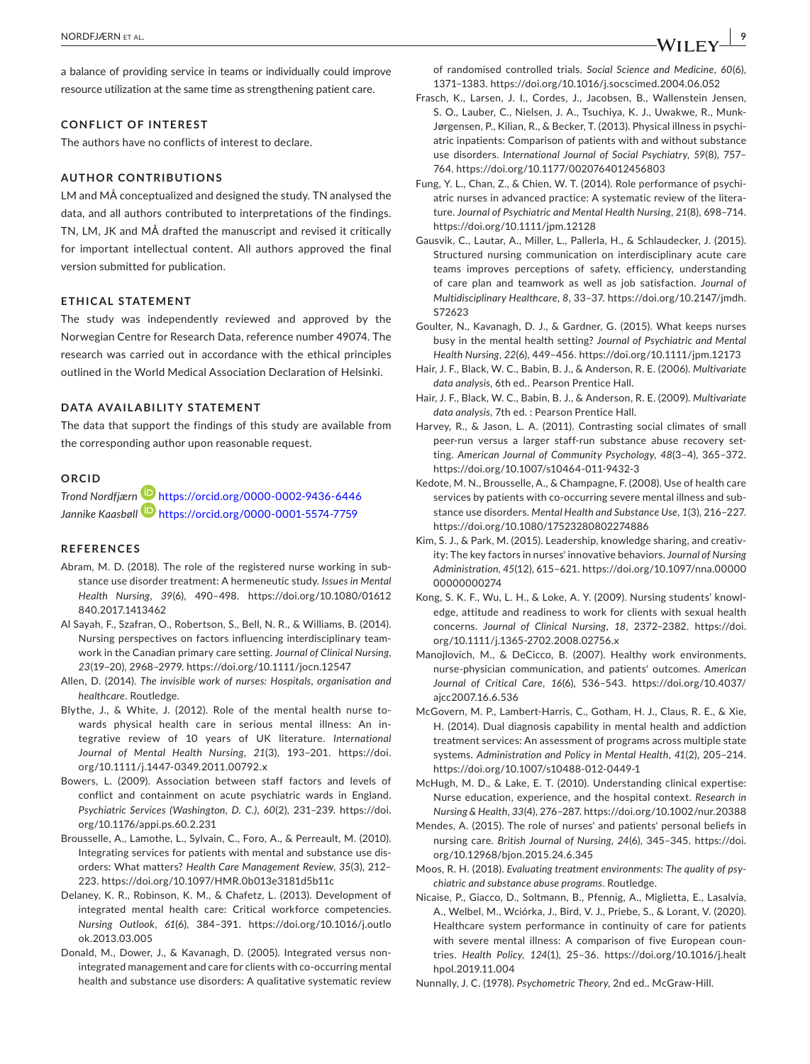a balance of providing service in teams or individually could improve resource utilization at the same time as strengthening patient care.

#### **CONFLICT OF INTEREST**

The authors have no conflicts of interest to declare.

#### **AUTHOR CONTRIBUTIONS**

LM and MÅ conceptualized and designed the study. TN analysed the data, and all authors contributed to interpretations of the findings. TN, LM, JK and MÅ drafted the manuscript and revised it critically for important intellectual content. All authors approved the final version submitted for publication.

#### **ETHICAL STATEMENT**

The study was independently reviewed and approved by the Norwegian Centre for Research Data, reference number 49074. The research was carried out in accordance with the ethical principles outlined in the World Medical Association Declaration of Helsinki.

#### **DATA AVAILABILITY STATEMENT**

The data that support the findings of this study are available from the corresponding author upon reasonable request.

#### **ORCID**

*Trond Nordfjærn* <https://orcid.org/0000-0002-9436-6446> *Jannike Kaasbøl[l](https://orcid.org/0000-0001-5574-7759)* <https://orcid.org/0000-0001-5574-7759>

#### **REFERENCES**

- Abram, M. D. (2018). The role of the registered nurse working in substance use disorder treatment: A hermeneutic study. *Issues in Mental Health Nursing*, *39*(6), 490–498. [https://doi.org/10.1080/01612](https://doi.org/10.1080/01612840.2017.1413462) [840.2017.1413462](https://doi.org/10.1080/01612840.2017.1413462)
- Al Sayah, F., Szafran, O., Robertson, S., Bell, N. R., & Williams, B. (2014). Nursing perspectives on factors influencing interdisciplinary teamwork in the Canadian primary care setting. *Journal of Clinical Nursing*, *23*(19–20), 2968–2979.<https://doi.org/10.1111/jocn.12547>
- Allen, D. (2014). *The invisible work of nurses: Hospitals, organisation and healthcare*. Routledge.
- Blythe, J., & White, J. (2012). Role of the mental health nurse towards physical health care in serious mental illness: An integrative review of 10 years of UK literature. *International Journal of Mental Health Nursing*, *21*(3), 193–201. [https://doi.](https://doi.org/10.1111/j.1447-0349.2011.00792.x) [org/10.1111/j.1447-0349.2011.00792.x](https://doi.org/10.1111/j.1447-0349.2011.00792.x)
- Bowers, L. (2009). Association between staff factors and levels of conflict and containment on acute psychiatric wards in England. *Psychiatric Services (Washington, D. C.)*, *60*(2), 231–239. [https://doi.](https://doi.org/10.1176/appi.ps.60.2.231) [org/10.1176/appi.ps.60.2.231](https://doi.org/10.1176/appi.ps.60.2.231)
- Brousselle, A., Lamothe, L., Sylvain, C., Foro, A., & Perreault, M. (2010). Integrating services for patients with mental and substance use disorders: What matters? *Health Care Management Review*, *35*(3), 212– 223. <https://doi.org/10.1097/HMR.0b013e3181d5b11c>
- Delaney, K. R., Robinson, K. M., & Chafetz, L. (2013). Development of integrated mental health care: Critical workforce competencies. *Nursing Outlook*, *61*(6), 384–391. [https://doi.org/10.1016/j.outlo](https://doi.org/10.1016/j.outlook.2013.03.005) [ok.2013.03.005](https://doi.org/10.1016/j.outlook.2013.03.005)
- Donald, M., Dower, J., & Kavanagh, D. (2005). Integrated versus nonintegrated management and care for clients with co-occurring mental health and substance use disorders: A qualitative systematic review

of randomised controlled trials. *Social Science and Medicine*, *60*(6), 1371–1383. <https://doi.org/10.1016/j.socscimed.2004.06.052>

- Frasch, K., Larsen, J. I., Cordes, J., Jacobsen, B., Wallenstein Jensen, S. O., Lauber, C., Nielsen, J. A., Tsuchiya, K. J., Uwakwe, R., Munk-Jørgensen, P., Kilian, R., & Becker, T. (2013). Physical illness in psychiatric inpatients: Comparison of patients with and without substance use disorders. *International Journal of Social Psychiatry*, *59*(8), 757– 764. <https://doi.org/10.1177/0020764012456803>
- Fung, Y. L., Chan, Z., & Chien, W. T. (2014). Role performance of psychiatric nurses in advanced practice: A systematic review of the literature. *Journal of Psychiatric and Mental Health Nursing*, *21*(8), 698–714. <https://doi.org/10.1111/jpm.12128>
- Gausvik, C., Lautar, A., Miller, L., Pallerla, H., & Schlaudecker, J. (2015). Structured nursing communication on interdisciplinary acute care teams improves perceptions of safety, efficiency, understanding of care plan and teamwork as well as job satisfaction. *Journal of Multidisciplinary Healthcare*, *8*, 33–37. [https://doi.org/10.2147/jmdh.](https://doi.org/10.2147/jmdh.S72623) [S72623](https://doi.org/10.2147/jmdh.S72623)
- Goulter, N., Kavanagh, D. J., & Gardner, G. (2015). What keeps nurses busy in the mental health setting? *Journal of Psychiatric and Mental Health Nursing*, *22*(6), 449–456. <https://doi.org/10.1111/jpm.12173>
- Hair, J. F., Black, W. C., Babin, B. J., & Anderson, R. E. (2006). *Multivariate data analysis*, 6th ed.. Pearson Prentice Hall.
- Hair, J. F., Black, W. C., Babin, B. J., & Anderson, R. E. (2009). *Multivariate data analysis*, 7th ed. : Pearson Prentice Hall.
- Harvey, R., & Jason, L. A. (2011). Contrasting social climates of small peer-run versus a larger staff-run substance abuse recovery setting. *American Journal of Community Psychology*, *48*(3–4), 365–372. <https://doi.org/10.1007/s10464-011-9432-3>
- Kedote, M. N., Brousselle, A., & Champagne, F. (2008). Use of health care services by patients with co-occurring severe mental illness and substance use disorders. *Mental Health and Substance Use*, *1*(3), 216–227. <https://doi.org/10.1080/17523280802274886>
- Kim, S. J., & Park, M. (2015). Leadership, knowledge sharing, and creativity: The key factors in nurses' innovative behaviors. *Journal of Nursing Administration*, *45*(12), 615–621. [https://doi.org/10.1097/nna.00000](https://doi.org/10.1097/nna.0000000000000274) [00000000274](https://doi.org/10.1097/nna.0000000000000274)
- Kong, S. K. F., Wu, L. H., & Loke, A. Y. (2009). Nursing students' knowledge, attitude and readiness to work for clients with sexual health concerns. *Journal of Clinical Nursing*, *18*, 2372–2382. [https://doi.](https://doi.org/10.1111/j.1365-2702.2008.02756.x) [org/10.1111/j.1365-2702.2008.02756.x](https://doi.org/10.1111/j.1365-2702.2008.02756.x)
- Manojlovich, M., & DeCicco, B. (2007). Healthy work environments, nurse-physician communication, and patients' outcomes. *American Journal of Critical Care*, *16*(6), 536–543. [https://doi.org/10.4037/](https://doi.org/10.4037/ajcc2007.16.6.536) [ajcc2007.16.6.536](https://doi.org/10.4037/ajcc2007.16.6.536)
- McGovern, M. P., Lambert-Harris, C., Gotham, H. J., Claus, R. E., & Xie, H. (2014). Dual diagnosis capability in mental health and addiction treatment services: An assessment of programs across multiple state systems. *Administration and Policy in Mental Health*, *41*(2), 205–214. <https://doi.org/10.1007/s10488-012-0449-1>
- McHugh, M. D., & Lake, E. T. (2010). Understanding clinical expertise: Nurse education, experience, and the hospital context. *Research in Nursing & Health*, *33*(4), 276–287.<https://doi.org/10.1002/nur.20388>
- Mendes, A. (2015). The role of nurses' and patients' personal beliefs in nursing care. *British Journal of Nursing*, *24*(6), 345–345. [https://doi.](https://doi.org/10.12968/bjon.2015.24.6.345) [org/10.12968/bjon.2015.24.6.345](https://doi.org/10.12968/bjon.2015.24.6.345)
- Moos, R. H. (2018). *Evaluating treatment environments: The quality of psychiatric and substance abuse programs*. Routledge.
- Nicaise, P., Giacco, D., Soltmann, B., Pfennig, A., Miglietta, E., Lasalvia, A., Welbel, M., Wciórka, J., Bird, V. J., Priebe, S., & Lorant, V. (2020). Healthcare system performance in continuity of care for patients with severe mental illness: A comparison of five European countries. *Health Policy*, *124*(1), 25–36. [https://doi.org/10.1016/j.healt](https://doi.org/10.1016/j.healthpol.2019.11.004) [hpol.2019.11.004](https://doi.org/10.1016/j.healthpol.2019.11.004)
- Nunnally, J. C. (1978). *Psychometric Theory*, 2nd ed.. McGraw-Hill.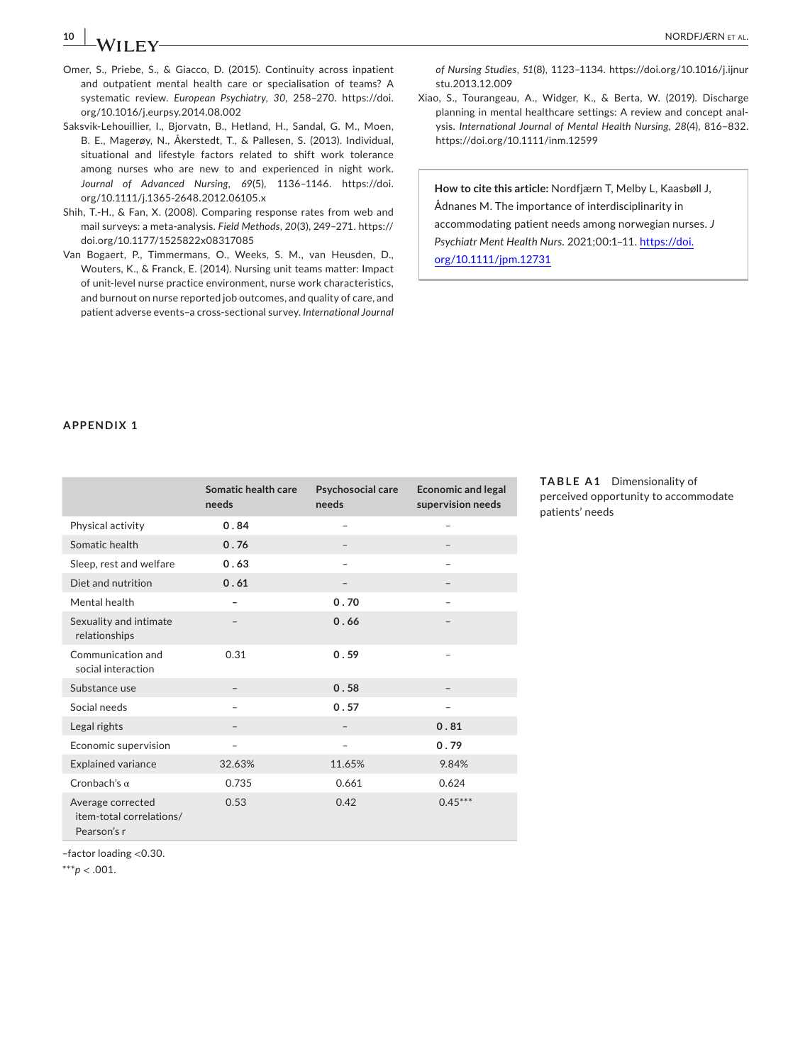# **10 |**  NORDFJÆRN et al.

- Omer, S., Priebe, S., & Giacco, D. (2015). Continuity across inpatient and outpatient mental health care or specialisation of teams? A systematic review. *European Psychiatry*, *30*, 258–270. [https://doi.](https://doi.org/10.1016/j.eurpsy.2014.08.002) [org/10.1016/j.eurpsy.2014.08.002](https://doi.org/10.1016/j.eurpsy.2014.08.002)
- Saksvik-Lehouillier, I., Bjorvatn, B., Hetland, H., Sandal, G. M., Moen, B. E., Magerøy, N., Åkerstedt, T., & Pallesen, S. (2013). Individual, situational and lifestyle factors related to shift work tolerance among nurses who are new to and experienced in night work. *Journal of Advanced Nursing*, *69*(5), 1136–1146. [https://doi.](https://doi.org/10.1111/j.1365-2648.2012.06105.x) [org/10.1111/j.1365-2648.2012.06105.x](https://doi.org/10.1111/j.1365-2648.2012.06105.x)
- Shih, T.-H., & Fan, X. (2008). Comparing response rates from web and mail surveys: a meta-analysis. *Field Methods*, *20*(3), 249–271. [https://](https://doi.org/10.1177/1525822x08317085) [doi.org/10.1177/1525822x08317085](https://doi.org/10.1177/1525822x08317085)
- Van Bogaert, P., Timmermans, O., Weeks, S. M., van Heusden, D., Wouters, K., & Franck, E. (2014). Nursing unit teams matter: Impact of unit-level nurse practice environment, nurse work characteristics, and burnout on nurse reported job outcomes, and quality of care, and patient adverse events–a cross-sectional survey. *International Journal*

*of Nursing Studies*, *51*(8), 1123–1134. [https://doi.org/10.1016/j.ijnur](https://doi.org/10.1016/j.ijnurstu.2013.12.009) [stu.2013.12.009](https://doi.org/10.1016/j.ijnurstu.2013.12.009)

Xiao, S., Tourangeau, A., Widger, K., & Berta, W. (2019). Discharge planning in mental healthcare settings: A review and concept analysis. *International Journal of Mental Health Nursing*, *28*(4), 816–832. <https://doi.org/10.1111/inm.12599>

**How to cite this article:** Nordfjærn T, Melby L, Kaasbøll J, Ådnanes M. The importance of interdisciplinarity in accommodating patient needs among norwegian nurses. *J Psychiatr Ment Health Nurs*. 2021;00:1–11. [https://doi.](https://doi.org/10.1111/jpm.12731) [org/10.1111/jpm.12731](https://doi.org/10.1111/jpm.12731)

## **APPENDIX 1**

|                                                              | Somatic health care<br>needs | Psychosocial care<br>needs | <b>Economic and legal</b><br>supervision needs |
|--------------------------------------------------------------|------------------------------|----------------------------|------------------------------------------------|
| Physical activity                                            | 0.84                         | $\overline{\phantom{a}}$   | ۰                                              |
| Somatic health                                               | 0.76                         |                            |                                                |
| Sleep, rest and welfare                                      | 0.63                         |                            |                                                |
| Diet and nutrition                                           | 0.61                         |                            |                                                |
| Mental health                                                |                              | 0.70                       |                                                |
| Sexuality and intimate<br>relationships                      |                              | 0.66                       |                                                |
| Communication and<br>social interaction                      | 0.31                         | 0.59                       |                                                |
| Substance use                                                |                              | 0.58                       |                                                |
| Social needs                                                 |                              | 0.57                       |                                                |
| Legal rights                                                 |                              |                            | 0.81                                           |
| Economic supervision                                         |                              |                            | 0.79                                           |
| <b>Explained variance</b>                                    | 32.63%                       | 11.65%                     | 9.84%                                          |
| Cronbach's $\alpha$                                          | 0.735                        | 0.661                      | 0.624                                          |
| Average corrected<br>item-total correlations/<br>Pearson's r | 0.53                         | 0.42                       | $0.45***$                                      |

**TABLE A1** Dimensionality of perceived opportunity to accommodate patients' needs

–factor loading <0.30.

\*\*\**p* < .001.